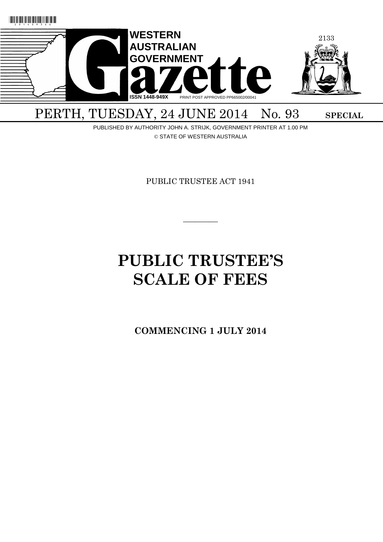

# PERTH, TUESDAY, 24 JUNE 2014 No. 93 SPECIAL

PUBLISHED BY AUTHORITY JOHN A. STRIJK, GOVERNMENT PRINTER AT 1.00 PM © STATE OF WESTERN AUSTRALIA

PUBLIC TRUSTEE ACT 1941

 $\overline{\phantom{a}}$ 

# **PUBLIC TRUSTEE'S SCALE OF FEES**

**COMMENCING 1 JULY 2014**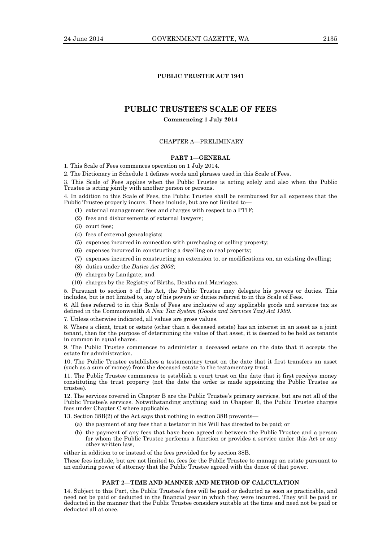## **PUBLIC TRUSTEE ACT 1941**

# **PUBLIC TRUSTEE'S SCALE OF FEES**

## **Commencing 1 July 2014**

## CHAPTER A—PRELIMINARY

## **PART 1—GENERAL**

1. This Scale of Fees commences operation on 1 July 2014.

2. The Dictionary in Schedule 1 defines words and phrases used in this Scale of Fees.

3. This Scale of Fees applies when the Public Trustee is acting solely and also when the Public Trustee is acting jointly with another person or persons.

4. In addition to this Scale of Fees, the Public Trustee shall be reimbursed for all expenses that the Public Trustee properly incurs. These include, but are not limited to—

(1) external management fees and charges with respect to a PTIF;

- (2) fees and disbursements of external lawyers;
- (3) court fees;
- (4) fees of external genealogists;
- (5) expenses incurred in connection with purchasing or selling property;
- (6) expenses incurred in constructing a dwelling on real property;
- (7) expenses incurred in constructing an extension to, or modifications on, an existing dwelling;
- (8) duties under the *Duties Act 2008*;
- (9) charges by Landgate; and
- (10) charges by the Registry of Births, Deaths and Marriages.

5. Pursuant to section 5 of the Act, the Public Trustee may delegate his powers or duties. This includes, but is not limited to, any of his powers or duties referred to in this Scale of Fees.

6. All fees referred to in this Scale of Fees are inclusive of any applicable goods and services tax as defined in the Commonwealth *A New Tax System (Goods and Services Tax) Act 1999*.

7. Unless otherwise indicated, all values are gross values.

8. Where a client, trust or estate (other than a deceased estate) has an interest in an asset as a joint tenant, then for the purpose of determining the value of that asset, it is deemed to be held as tenants in common in equal shares.

9. The Public Trustee commences to administer a deceased estate on the date that it accepts the estate for administration.

10. The Public Trustee establishes a testamentary trust on the date that it first transfers an asset (such as a sum of money) from the deceased estate to the testamentary trust.

11. The Public Trustee commences to establish a court trust on the date that it first receives money constituting the trust property (not the date the order is made appointing the Public Trustee as trustee).

12. The services covered in Chapter B are the Public Trustee's primary services, but are not all of the Public Trustee's services. Notwithstanding anything said in Chapter B, the Public Trustee charges fees under Chapter C where applicable.

13. Section 38B(2) of the Act says that nothing in section 38B prevents—

- (a) the payment of any fees that a testator in his Will has directed to be paid; or
- (b) the payment of any fees that have been agreed on between the Public Trustee and a person for whom the Public Trustee performs a function or provides a service under this Act or any other written law,

either in addition to or instead of the fees provided for by section 38B.

These fees include, but are not limited to, fees for the Public Trustee to manage an estate pursuant to an enduring power of attorney that the Public Trustee agreed with the donor of that power.

## **PART 2—TIME AND MANNER AND METHOD OF CALCULATION**

14. Subject to this Part, the Public Trustee's fees will be paid or deducted as soon as practicable, and need not be paid or deducted in the financial year in which they were incurred. They will be paid or deducted in the manner that the Public Trustee considers suitable at the time and need not be paid or deducted all at once.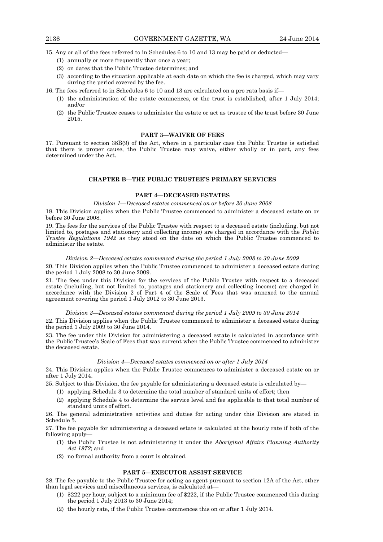15. Any or all of the fees referred to in Schedules 6 to 10 and 13 may be paid or deducted—

- (1) annually or more frequently than once a year;
- (2) on dates that the Public Trustee determines; and
- (3) according to the situation applicable at each date on which the fee is charged, which may vary during the period covered by the fee.
- 16. The fees referred to in Schedules 6 to 10 and 13 are calculated on a pro rata basis if—
	- (1) the administration of the estate commences, or the trust is established, after 1 July 2014; and/or
	- (2) the Public Trustee ceases to administer the estate or act as trustee of the trust before 30 June 2015.

#### **PART 3—WAIVER OF FEES**

17. Pursuant to section 38B(9) of the Act, where in a particular case the Public Trustee is satisfied that there is proper cause, the Public Trustee may waive, either wholly or in part, any fees determined under the Act.

## **CHAPTER B—THE PUBLIC TRUSTEE'S PRIMARY SERVICES**

## **PART 4—DECEASED ESTATES**

#### *Division 1—Deceased estates commenced on or before 30 June 2008*

18. This Division applies when the Public Trustee commenced to administer a deceased estate on or before 30 June 2008.

19. The fees for the services of the Public Trustee with respect to a deceased estate (including, but not limited to, postages and stationery and collecting income) are charged in accordance with the *Public Trustee Regulations 1942* as they stood on the date on which the Public Trustee commenced to administer the estate.

#### *Division 2—Deceased estates commenced during the period 1 July 2008 to 30 June 2009*

20. This Division applies when the Public Trustee commenced to administer a deceased estate during the period  $1 \text{ July } 2008$  to  $30 \text{ June } 2009$ .

21. The fees under this Division for the services of the Public Trustee with respect to a deceased estate (including, but not limited to, postages and stationery and collecting income) are charged in accordance with the Division 2 of Part 4 of the Scale of Fees that was annexed to the annual agreement covering the period 1 July 2012 to 30 June 2013.

*Division 3—Deceased estates commenced during the period 1 July 2009 to 30 June 2014* 22. This Division applies when the Public Trustee commenced to administer a deceased estate during the period 1 July 2009 to 30 June 2014.

23. The fee under this Division for administering a deceased estate is calculated in accordance with the Public Trustee's Scale of Fees that was current when the Public Trustee commenced to administer the deceased estate.

## *Division 4—Deceased estates commenced on or after 1 July 2014*

24. This Division applies when the Public Trustee commences to administer a deceased estate on or after 1 July 2014.

25. Subject to this Division, the fee payable for administering a deceased estate is calculated by—

- (1) applying Schedule 3 to determine the total number of standard units of effort; then
- (2) applying Schedule 4 to determine the service level and fee applicable to that total number of standard units of effort.

26. The general administrative activities and duties for acting under this Division are stated in Schedule 5.

27. The fee payable for administering a deceased estate is calculated at the hourly rate if both of the following apply—

- (1) the Public Trustee is not administering it under the *Aboriginal Affairs Planning Authority Act 1972*; and
- (2) no formal authority from a court is obtained.

#### **PART 5—EXECUTOR ASSIST SERVICE**

28. The fee payable to the Public Trustee for acting as agent pursuant to section 12A of the Act, other than legal services and miscellaneous services, is calculated at—

- (1) \$222 per hour, subject to a minimum fee of \$222, if the Public Trustee commenced this during the period 1 July 2013 to 30 June 2014;
- (2) the hourly rate, if the Public Trustee commences this on or after 1 July 2014.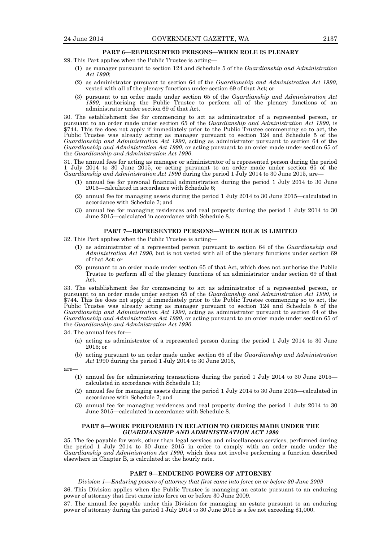## **PART 6—REPRESENTED PERSONS—WHEN ROLE IS PLENARY**

- 29. This Part applies when the Public Trustee is acting—
	- (1) as manager pursuant to section 124 and Schedule 5 of the *Guardianship and Administration Act 1990*;
	- (2) as administrator pursuant to section 64 of the *Guardianship and Administration Act 1990*, vested with all of the plenary functions under section 69 of that Act; or
	- (3) pursuant to an order made under section 65 of the *Guardianship and Administration Act 1990*, authorising the Public Trustee to perform all of the plenary functions of an administrator under section 69 of that Act.

30. The establishment fee for commencing to act as administrator of a represented person, or pursuant to an order made under section 65 of the *Guardianship and Administration Act 1990*, is \$744. This fee does not apply if immediately prior to the Public Trustee commencing so to act, the Public Trustee was already acting as manager pursuant to section 124 and Schedule 5 of the *Guardianship and Administration Act 1990*, acting as administrator pursuant to section 64 of the *Guardianship and Administration Act 1990*, or acting pursuant to an order made under section 65 of the *Guardianship and Administration Act 1990*.

31. The annual fees for acting as manager or administrator of a represented person during the period 1 July 2014 to 30 June 2015, or acting pursuant to an order made under section 65 of the *Guardianship and Administration Act 1990* during the period 1 July 2014 to 30 June 2015, are—

- (1) annual fee for personal financial administration during the period 1 July 2014 to 30 June 2015—calculated in accordance with Schedule 6;
- (2) annual fee for managing assets during the period 1 July 2014 to 30 June 2015—calculated in accordance with Schedule 7; and
- (3) annual fee for managing residences and real property during the period 1 July 2014 to 30 June 2015—calculated in accordance with Schedule 8.

#### **PART 7—REPRESENTED PERSONS—WHEN ROLE IS LIMITED**

32. This Part applies when the Public Trustee is acting—

- (1) as administrator of a represented person pursuant to section 64 of the *Guardianship and Administration Act 1990*, but is not vested with all of the plenary functions under section 69 of that Act; or
- (2) pursuant to an order made under section 65 of that Act, which does not authorise the Public Trustee to perform all of the plenary functions of an administrator under section 69 of that Act.

33. The establishment fee for commencing to act as administrator of a represented person, or pursuant to an order made under section 65 of the *Guardianship and Administration Act 1990*, is \$744. This fee does not apply if immediately prior to the Public Trustee commencing so to act, the Public Trustee was already acting as manager pursuant to section 124 and Schedule 5 of the *Guardianship and Administration Act 1990*, acting as administrator pursuant to section 64 of the *Guardianship and Administration Act 1990*, or acting pursuant to an order made under section 65 of the *Guardianship and Administration Act 1990*.

34. The annual fees for—

- (a) acting as administrator of a represented person during the period 1 July 2014 to 30 June 2015; or
- (b) acting pursuant to an order made under section 65 of the *Guardianship and Administration Act* 1990 during the period 1 July 2014 to 30 June 2015,

are—

- (1) annual fee for administering transactions during the period 1 July 2014 to 30 June 2015 calculated in accordance with Schedule 13;
- (2) annual fee for managing assets during the period 1 July 2014 to 30 June 2015—calculated in accordance with Schedule 7; and
- (3) annual fee for managing residences and real property during the period 1 July 2014 to 30 June 2015—calculated in accordance with Schedule 8.

#### **PART 8—WORK PERFORMED IN RELATION TO ORDERS MADE UNDER THE**  *GUARDIANSHIP AND ADMINISTRATION ACT 1990*

35. The fee payable for work, other than legal services and miscellaneous services, performed during the period 1 July 2014 to 30 June 2015 in order to comply with an order made under the *Guardianship and Administration Act 1990*, which does not involve performing a function described elsewhere in Chapter B, is calculated at the hourly rate.

#### **PART 9—ENDURING POWERS OF ATTORNEY**

*Division 1—Enduring powers of attorney that first came into force on or before 30 June 2009*

36. This Division applies when the Public Trustee is managing an estate pursuant to an enduring power of attorney that first came into force on or before 30 June 2009.

37. The annual fee payable under this Division for managing an estate pursuant to an enduring power of attorney during the period 1 July 2014 to 30 June 2015 is a fee not exceeding \$1,000.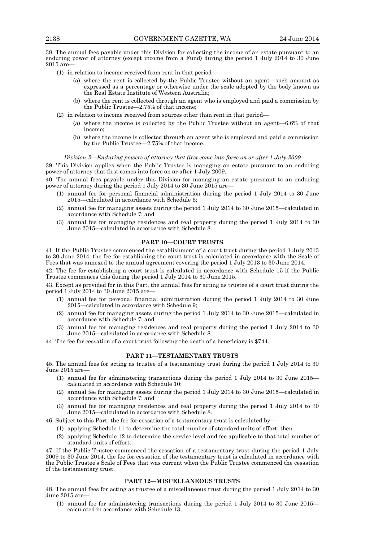38. The annual fees payable under this Division for collecting the income of an estate pursuant to an enduring power of attorney (except income from a Fund) during the period 1 July 2014 to 30 June 2015 are—

- (1) in relation to income received from rent in that period—
	- (a) where the rent is collected by the Public Trustee without an agent—such amount as expressed as a percentage or otherwise under the scale adopted by the body known as the Real Estate Institute of Western Australia;
	- (b) where the rent is collected through an agent who is employed and paid a commission by the Public Trustee—2.75% of that income;
- (2) in relation to income received from sources other than rent in that period—
	- (a) where the income is collected by the Public Trustee without an agent—6.6% of that income;
	- (b) where the income is collected through an agent who is employed and paid a commission by the Public Trustee—2.75% of that income.

#### *Division 2—Enduring powers of attorney that first come into force on or after 1 July 2009*

39. This Division applies when the Public Trustee is managing an estate pursuant to an enduring power of attorney that first comes into force on or after 1 July 2009.

40. The annual fees payable under this Division for managing an estate pursuant to an enduring power of attorney during the period 1 July 2014 to 30 June 2015 are—

- (1) annual fee for personal financial administration during the period 1 July 2014 to 30 June 2015—calculated in accordance with Schedule 6;
- (2) annual fee for managing assets during the period 1 July 2014 to 30 June 2015—calculated in accordance with Schedule 7; and
- (3) annual fee for managing residences and real property during the period 1 July 2014 to 30 June 2015—calculated in accordance with Schedule 8.

#### **PART 10—COURT TRUSTS**

41. If the Public Trustee commenced the establishment of a court trust during the period 1 July 2013 to 30 June 2014, the fee for establishing the court trust is calculated in accordance with the Scale of Fees that was annexed to the annual agreement covering the period 1 July 2013 to 30 June 2014.

42. The fee for establishing a court trust is calculated in accordance with Schedule 15 if the Public Trustee commences this during the period 1 July 2014 to 30 June 2015.

43. Except as provided for in this Part, the annual fees for acting as trustee of a court trust during the period  $1$  July  $2014$  to  $30$  June  $2015$  are-

- (1) annual fee for personal financial administration during the period 1 July 2014 to 30 June 2015—calculated in accordance with Schedule 9;
- (2) annual fee for managing assets during the period 1 July 2014 to 30 June 2015—calculated in accordance with Schedule 7; and
- (3) annual fee for managing residences and real property during the period 1 July 2014 to 30 June 2015—calculated in accordance with Schedule 8.

44. The fee for cessation of a court trust following the death of a beneficiary is \$744.

## **PART 11—TESTAMENTARY TRUSTS**

45. The annual fees for acting as trustee of a testamentary trust during the period 1 July 2014 to 30 June 2015 are—

- (1) annual fee for administering transactions during the period 1 July 2014 to 30 June 2015 calculated in accordance with Schedule 10;
- (2) annual fee for managing assets during the period 1 July 2014 to 30 June 2015—calculated in accordance with Schedule 7; and
- (3) annual fee for managing residences and real property during the period 1 July 2014 to 30 June 2015—calculated in accordance with Schedule 8.

46. Subject to this Part, the fee for cessation of a testamentary trust is calculated by—

- (1) applying Schedule 11 to determine the total number of standard units of effort; then
- (2) applying Schedule 12 to determine the service level and fee applicable to that total number of standard units of effort.

47. If the Public Trustee commenced the cessation of a testamentary trust during the period 1 July 2009 to 30 June 2014, the fee for cessation of the testamentary trust is calculated in accordance with the Public Trustee's Scale of Fees that was current when the Public Trustee commenced the cessation of the testamentary trust.

## **PART 12—MISCELLANEOUS TRUSTS**

48. The annual fees for acting as trustee of a miscellaneous trust during the period 1 July 2014 to 30 June 2015 are—

(1) annual fee for administering transactions during the period 1 July 2014 to 30 June 2015 calculated in accordance with Schedule 13;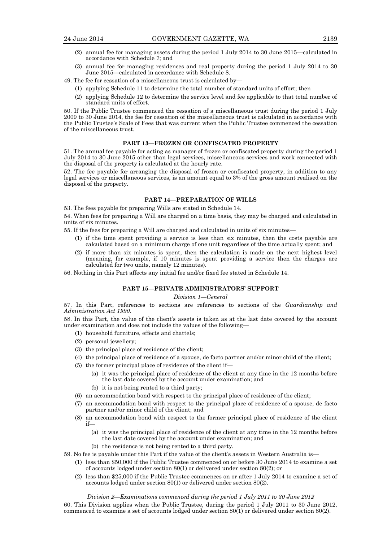- (2) annual fee for managing assets during the period 1 July 2014 to 30 June 2015—calculated in accordance with Schedule 7; and
- (3) annual fee for managing residences and real property during the period 1 July 2014 to 30 June 2015—calculated in accordance with Schedule 8.
- 49. The fee for cessation of a miscellaneous trust is calculated by—
	- (1) applying Schedule 11 to determine the total number of standard units of effort; then
	- (2) applying Schedule 12 to determine the service level and fee applicable to that total number of standard units of effort.

50. If the Public Trustee commenced the cessation of a miscellaneous trust during the period 1 July 2009 to 30 June 2014, the fee for cessation of the miscellaneous trust is calculated in accordance with the Public Trustee's Scale of Fees that was current when the Public Trustee commenced the cessation of the miscellaneous trust.

#### **PART 13—FROZEN OR CONFISCATED PROPERTY**

51. The annual fee payable for acting as manager of frozen or confiscated property during the period 1 July 2014 to 30 June 2015 other than legal services, miscellaneous services and work connected with the disposal of the property is calculated at the hourly rate.

52. The fee payable for arranging the disposal of frozen or confiscated property, in addition to any legal services or miscellaneous services, is an amount equal to 3% of the gross amount realised on the disposal of the property.

## **PART 14—PREPARATION OF WILLS**

53. The fees payable for preparing Wills are stated in Schedule 14.

54. When fees for preparing a Will are charged on a time basis, they may be charged and calculated in units of six minutes.

55. If the fees for preparing a Will are charged and calculated in units of six minutes—

- (1) if the time spent providing a service is less than six minutes, then the costs payable are calculated based on a minimum charge of one unit regardless of the time actually spent; and
- (2) if more than six minutes is spent, then the calculation is made on the next highest level (meaning, for example, if 10 minutes is spent providing a service then the charges are calculated for two units, namely 12 minutes).

56. Nothing in this Part affects any initial fee and/or fixed fee stated in Schedule 14.

# **PART 15—PRIVATE ADMINISTRATORS' SUPPORT**

*Division 1—General*

57. In this Part, references to sections are references to sections of the *Guardianship and Administration Act 1990*.

58. In this Part, the value of the client's assets is taken as at the last date covered by the account under examination and does not include the values of the following—

- (1) household furniture, effects and chattels;
- (2) personal jewellery;
- (3) the principal place of residence of the client;
- (4) the principal place of residence of a spouse, de facto partner and/or minor child of the client;
- (5) the former principal place of residence of the client if—
	- (a) it was the principal place of residence of the client at any time in the 12 months before the last date covered by the account under examination; and
	- (b) it is not being rented to a third party;
- (6) an accommodation bond with respect to the principal place of residence of the client;
- (7) an accommodation bond with respect to the principal place of residence of a spouse, de facto partner and/or minor child of the client; and
- (8) an accommodation bond with respect to the former principal place of residence of the client if—
	- (a) it was the principal place of residence of the client at any time in the 12 months before the last date covered by the account under examination; and
	- (b) the residence is not being rented to a third party.

59. No fee is payable under this Part if the value of the client's assets in Western Australia is—

- (1) less than \$50,000 if the Public Trustee commenced on or before 30 June 2014 to examine a set of accounts lodged under section 80(1) or delivered under section 80(2); or
- (2) less than \$25,000 if the Public Trustee commences on or after 1 July 2014 to examine a set of accounts lodged under section 80(1) or delivered under section 80(2).

*Division 2—Examinations commenced during the period 1 July 2011 to 30 June 2012*

60. This Division applies when the Public Trustee, during the period 1 July 2011 to 30 June 2012, commenced to examine a set of accounts lodged under section 80(1) or delivered under section 80(2).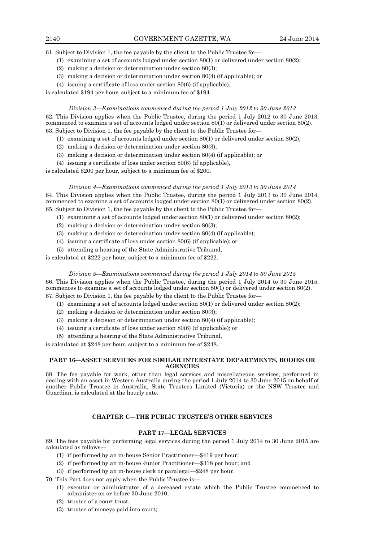61. Subject to Division 1, the fee payable by the client to the Public Trustee for—

- (1) examining a set of accounts lodged under section 80(1) or delivered under section 80(2);
- (2) making a decision or determination under section 80(3);
- (3) making a decision or determination under section 80(4) (if applicable); or
- (4) issuing a certificate of loss under section 80(6) (if applicable),

is calculated \$194 per hour, subject to a minimum fee of \$194.

#### *Division 3—Examinations commenced during the period 1 July 2012 to 30 June 2013*

62. This Division applies when the Public Trustee, during the period 1 July 2012 to 30 June 2013, commenced to examine a set of accounts lodged under section 80(1) or delivered under section 80(2). 63. Subject to Division 1, the fee payable by the client to the Public Trustee for—

- - (1) examining a set of accounts lodged under section 80(1) or delivered under section 80(2);
	- (2) making a decision or determination under section 80(3);
	- (3) making a decision or determination under section 80(4) (if applicable); or
	- (4) issuing a certificate of loss under section 80(6) (if applicable),

is calculated \$200 per hour, subject to a minimum fee of \$200.

#### *Division 4—Examinations commenced during the period 1 July 2013 to 30 June 2014*

64. This Division applies when the Public Trustee, during the period 1 July 2013 to 30 June 2014, commenced to examine a set of accounts lodged under section 80(1) or delivered under section 80(2). 65. Subject to Division 1, the fee payable by the client to the Public Trustee for—

- (1) examining a set of accounts lodged under section 80(1) or delivered under section 80(2);
- (2) making a decision or determination under section 80(3);
- (3) making a decision or determination under section 80(4) (if applicable);
- (4) issuing a certificate of loss under section 80(6) (if applicable); or
- (5) attending a hearing of the State Administrative Tribunal,

is calculated at \$222 per hour, subject to a minimum fee of \$222.

#### *Division 5—Examinations commenced during the period 1 July 2014 to 30 June 2015*

66. This Division applies when the Public Trustee, during the period 1 July 2014 to 30 June 2015, commences to examine a set of accounts lodged under section 80(1) or delivered under section 80(2). 67. Subject to Division 1, the fee payable by the client to the Public Trustee for—

- (1) examining a set of accounts lodged under section 80(1) or delivered under section 80(2);
- (2) making a decision or determination under section 80(3);
- (3) making a decision or determination under section 80(4) (if applicable);
- (4) issuing a certificate of loss under section 80(6) (if applicable); or
- (5) attending a hearing of the State Administrative Tribunal,

is calculated at \$248 per hour, subject to a minimum fee of \$248.

#### **PART 16—ASSET SERVICES FOR SIMILAR INTERSTATE DEPARTMENTS, BODIES OR AGENCIES**

68. The fee payable for work, other than legal services and miscellaneous services, performed in dealing with an asset in Western Australia during the period 1 July 2014 to 30 June 2015 on behalf of another Public Trustee in Australia, State Trustees Limited (Victoria) or the NSW Trustee and Guardian, is calculated at the hourly rate.

## **CHAPTER C—THE PUBLIC TRUSTEE'S OTHER SERVICES**

### **PART 17—LEGAL SERVICES**

69. The fees payable for performing legal services during the period 1 July 2014 to 30 June 2015 are calculated as follows—

- (1) if performed by an in-house Senior Practitioner—\$419 per hour;
- (2) if performed by an in-house Junior Practitioner—\$318 per hour; and
- (3) if performed by an in-house clerk or paralegal—\$248 per hour.

70. This Part does not apply when the Public Trustee is—

- (1) executor or administrator of a deceased estate which the Public Trustee commenced to administer on or before 30 June 2010;
- (2) trustee of a court trust;
- (3) trustee of moneys paid into court;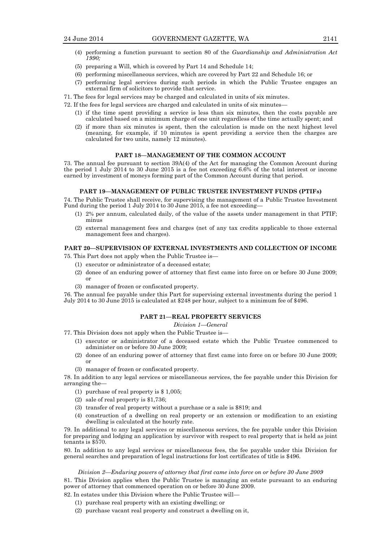- 
- (4) performing a function pursuant to section 80 of the *Guardianship and Administration Act 1990;*
- (5) preparing a Will, which is covered by Part 14 and Schedule 14;
- (6) performing miscellaneous services, which are covered by Part 22 and Schedule 16; or
- (7) performing legal services during such periods in which the Public Trustee engages an external firm of solicitors to provide that service.
- 71. The fees for legal services may be charged and calculated in units of six minutes.
- 72. If the fees for legal services are charged and calculated in units of six minutes—
	- (1) if the time spent providing a service is less than six minutes, then the costs payable are calculated based on a minimum charge of one unit regardless of the time actually spent; and
	- (2) if more than six minutes is spent, then the calculation is made on the next highest level (meaning, for example, if 10 minutes is spent providing a service then the charges are calculated for two units, namely 12 minutes).

## **PART 18—MANAGEMENT OF THE COMMON ACCOUNT**

73. The annual fee pursuant to section 39A(4) of the Act for managing the Common Account during the period 1 July 2014 to 30 June 2015 is a fee not exceeding 6.6% of the total interest or income earned by investment of moneys forming part of the Common Account during that period.

#### **PART 19—MANAGEMENT OF PUBLIC TRUSTEE INVESTMENT FUNDS (PTIFs)**

74. The Public Trustee shall receive, for supervising the management of a Public Trustee Investment Fund during the period 1 July 2014 to 30 June 2015, a fee not exceeding—

- (1) 2% per annum, calculated daily, of the value of the assets under management in that PTIF; minus
- (2) external management fees and charges (net of any tax credits applicable to those external management fees and charges).

#### **PART 20—SUPERVISION OF EXTERNAL INVESTMENTS AND COLLECTION OF INCOME**

75. This Part does not apply when the Public Trustee is—

- (1) executor or administrator of a deceased estate;
- (2) donee of an enduring power of attorney that first came into force on or before 30 June 2009; or
- (3) manager of frozen or confiscated property.

76. The annual fee payable under this Part for supervising external investments during the period 1 July 2014 to 30 June 2015 is calculated at \$248 per hour, subject to a minimum fee of \$496.

## **PART 21—REAL PROPERTY SERVICES**

#### *Division 1—General*

77. This Division does not apply when the Public Trustee is—

- (1) executor or administrator of a deceased estate which the Public Trustee commenced to administer on or before 30 June 2009;
- (2) donee of an enduring power of attorney that first came into force on or before 30 June 2009; or
- (3) manager of frozen or confiscated property.

78. In addition to any legal services or miscellaneous services, the fee payable under this Division for arranging the—

- (1) purchase of real property is \$ 1,005;
- (2) sale of real property is \$1,736;
- (3) transfer of real property without a purchase or a sale is \$819; and
- (4) construction of a dwelling on real property or an extension or modification to an existing dwelling is calculated at the hourly rate.

79. In additional to any legal services or miscellaneous services, the fee payable under this Division for preparing and lodging an application by survivor with respect to real property that is held as joint tenants is \$570.

80. In addition to any legal services or miscellaneous fees, the fee payable under this Division for general searches and preparation of legal instructions for lost certificates of title is \$496.

#### *Division 2—Enduring powers of attorney that first came into force on or before 30 June 2009*

81. This Division applies when the Public Trustee is managing an estate pursuant to an enduring power of attorney that commenced operation on or before 30 June 2009.

- 82. In estates under this Division where the Public Trustee will—
	- (1) purchase real property with an existing dwelling; or
	- (2) purchase vacant real property and construct a dwelling on it,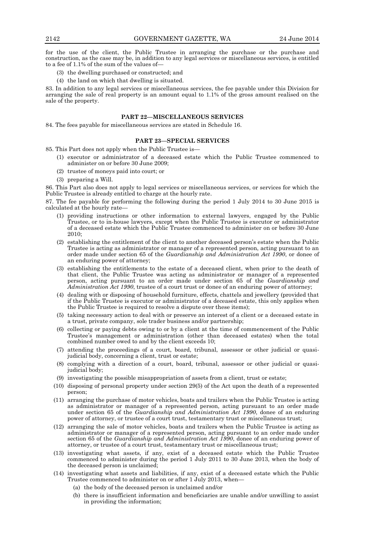for the use of the client, the Public Trustee in arranging the purchase or the purchase and construction, as the case may be, in addition to any legal services or miscellaneous services, is entitled to a fee of 1.1% of the sum of the values of—

- (3) the dwelling purchased or constructed; and
- (4) the land on which that dwelling is situated.

83. In addition to any legal services or miscellaneous services, the fee payable under this Division for arranging the sale of real property is an amount equal to 1.1% of the gross amount realised on the sale of the property.

## **PART 22—MISCELLANEOUS SERVICES**

84. The fees payable for miscellaneous services are stated in Schedule 16.

#### **PART 23—SPECIAL SERVICES**

85. This Part does not apply when the Public Trustee is—

- (1) executor or administrator of a deceased estate which the Public Trustee commenced to administer on or before 30 June 2009;
- (2) trustee of moneys paid into court; or
- (3) preparing a Will.

86. This Part also does not apply to legal services or miscellaneous services, or services for which the Public Trustee is already entitled to charge at the hourly rate.

87. The fee payable for performing the following during the period 1 July 2014 to 30 June 2015 is calculated at the hourly rate-

- (1) providing instructions or other information to external lawyers, engaged by the Public Trustee, or to in-house lawyers, except when the Public Trustee is executor or administrator of a deceased estate which the Public Trustee commenced to administer on or before 30 June 2010;
- (2) establishing the entitlement of the client to another deceased person's estate when the Public Trustee is acting as administrator or manager of a represented person, acting pursuant to an order made under section 65 of the *Guardianship and Administration Act 1990*, or donee of an enduring power of attorney;
- (3) establishing the entitlements to the estate of a deceased client, when prior to the death of that client, the Public Trustee was acting as administrator or manager of a represented person, acting pursuant to an order made under section 65 of the *Guardianship and Administration Act 1990*, trustee of a court trust or donee of an enduring power of attorney;
- (4) dealing with or disposing of household furniture, effects, chattels and jewellery (provided that if the Public Trustee is executor or administrator of a deceased estate, this only applies when the Public Trustee is required to resolve a dispute over these items);
- (5) taking necessary action to deal with or preserve an interest of a client or a deceased estate in a trust, private company, sole trader business and/or partnership;
- (6) collecting or paying debts owing to or by a client at the time of commencement of the Public Trustee's management or administration (other than deceased estates) when the total combined number owed to and by the client exceeds 10;
- (7) attending the proceedings of a court, board, tribunal, assessor or other judicial or quasijudicial body, concerning a client, trust or estate;
- (8) complying with a direction of a court, board, tribunal, assessor or other judicial or quasijudicial body;
- (9) investigating the possible misappropriation of assets from a client, trust or estate;
- (10) disposing of personal property under section 29(5) of the Act upon the death of a represented person;
- (11) arranging the purchase of motor vehicles, boats and trailers when the Public Trustee is acting as administrator or manager of a represented person, acting pursuant to an order made under section 65 of the *Guardianship and Administration Act 1990*, donee of an enduring power of attorney, or trustee of a court trust, testamentary trust or miscellaneous trust;
- (12) arranging the sale of motor vehicles, boats and trailers when the Public Trustee is acting as administrator or manager of a represented person, acting pursuant to an order made under section 65 of the *Guardianship and Administration Act 1990*, donee of an enduring power of attorney, or trustee of a court trust, testamentary trust or miscellaneous trust;
- (13) investigating what assets, if any, exist of a deceased estate which the Public Trustee commenced to administer during the period 1 July 2011 to 30 June 2013, when the body of the deceased person is unclaimed;
- (14) investigating what assets and liabilities, if any, exist of a deceased estate which the Public Trustee commenced to administer on or after 1 July 2013, when—
	- (a) the body of the deceased person is unclaimed and/or
	- (b) there is insufficient information and beneficiaries are unable and/or unwilling to assist in providing the information;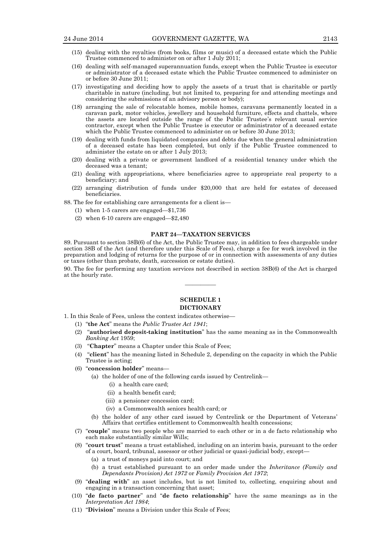- (15) dealing with the royalties (from books, films or music) of a deceased estate which the Public Trustee commenced to administer on or after 1 July 2011;
- (16) dealing with self-managed superannuation funds, except when the Public Trustee is executor or administrator of a deceased estate which the Public Trustee commenced to administer on or before 30 June 2011;
- (17) investigating and deciding how to apply the assets of a trust that is charitable or partly charitable in nature (including, but not limited to, preparing for and attending meetings and considering the submissions of an advisory person or body);
- (18) arranging the sale of relocatable homes, mobile homes, caravans permanently located in a caravan park, motor vehicles, jewellery and household furniture, effects and chattels, where the assets are located outside the range of the Public Trustee's relevant usual service contractor, except when the Public Trustee is executor or administrator of a deceased estate which the Public Trustee commenced to administer on or before 30 June 2013;
- (19) dealing with funds from liquidated companies and debts due when the general administration of a deceased estate has been completed, but only if the Public Trustee commenced to administer the estate on or after 1 July 2013;
- (20) dealing with a private or government landlord of a residential tenancy under which the deceased was a tenant;
- (21) dealing with appropriations, where beneficiaries agree to appropriate real property to a beneficiary; and
- (22) arranging distribution of funds under \$20,000 that are held for estates of deceased beneficiaries.
- 88. The fee for establishing care arrangements for a client is—
	- (1) when 1-5 carers are engaged—\$1,736
	- (2) when 6-10 carers are engaged—\$2,480

#### **PART 24—TAXATION SERVICES**

89. Pursuant to section 38B(6) of the Act, the Public Trustee may, in addition to fees chargeable under section 38B of the Act (and therefore under this Scale of Fees), charge a fee for work involved in the preparation and lodging of returns for the purpose of or in connection with assessments of any duties or taxes (other than probate, death, succession or estate duties).

90. The fee for performing any taxation services not described in section 38B(6) of the Act is charged at the hourly rate. ————

## **SCHEDULE 1 DICTIONARY**

1. In this Scale of Fees, unless the context indicates otherwise—

- (1) "**the Act**" means the *Public Trustee Act 1941*;
- (2) "**authorised deposit-taking institution**" has the same meaning as in the Commonwealth *Banking Act* 1959;
- (3) "**Chapter**" means a Chapter under this Scale of Fees;
- (4) "**client**" has the meaning listed in Schedule 2, depending on the capacity in which the Public Trustee is acting;
- (6) "**concession holder**" means—
	- (a) the holder of one of the following cards issued by Centrelink—
		- (i) a health care card;
		- (ii) a health benefit card;
		- (iii) a pensioner concession card;
		- (iv) a Commonwealth seniors health card; or
	- (b) the holder of any other card issued by Centrelink or the Department of Veterans' Affairs that certifies entitlement to Commonwealth health concessions;
- (7) "**couple**" means two people who are married to each other or in a de facto relationship who each make substantially similar Wills;
- (8) "**court trust**" means a trust established, including on an interim basis, pursuant to the order of a court, board, tribunal, assessor or other judicial or quasi-judicial body, except—
	- (a) a trust of moneys paid into court; and
	- (b) a trust established pursuant to an order made under the *Inheritance (Family and Dependants Provision) Act 1972* or *Family Provision Act 1972*;
- (9) "**dealing with**" an asset includes, but is not limited to, collecting, enquiring about and engaging in a transaction concerning that asset;
- (10) "**de facto partner**" and "**de facto relationship**" have the same meanings as in the *Interpretation Act 1984*;
- (11) "**Division**" means a Division under this Scale of Fees;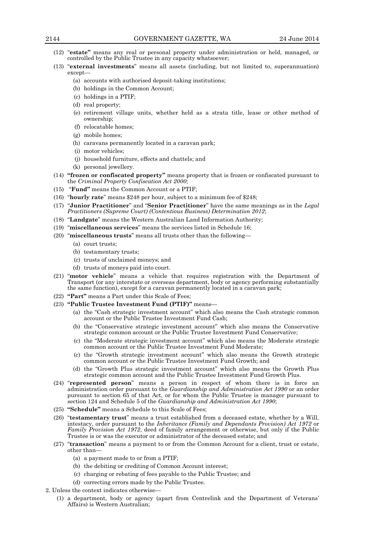- (12) "**estate"** means any real or personal property under administration or held, managed, or controlled by the Public Trustee in any capacity whatsoever;
- (13) "**external investments**" means all assets (including, but not limited to, superannuation) except—
	- (a) accounts with authorised deposit-taking institutions;
	- (b) holdings in the Common Account;
	- (c) holdings in a PTIF;
	- (d) real property;
	- (e) retirement village units, whether held as a strata title, lease or other method of ownership;
	- (f) relocatable homes;
	- (g) mobile homes;
	- (h) caravans permanently located in a caravan park;
	- (i) motor vehicles;
	- (j) household furniture, effects and chattels; and
	- (k) personal jewellery.
- (14) **"frozen or confiscated property"** means property that is frozen or confiscated pursuant to the *Criminal Property Confiscation Act 2000*;
- (15) "**Fund"** means the Common Account or a PTIF;
- (16) "**hourly rate**" means \$248 per hour, subject to a minimum fee of \$248;
- (17) "**Junior Practitioner**" and "**Senior Practitioner**" have the same meanings as in the *Legal Practitioners (Supreme Court) (Contentious Business) Determination 2012*;
- (18) "**Landgate**" means the Western Australian Land Information Authority;
- (19) "**miscellaneous services**" means the services listed in Schedule 16;
- (20) "**miscellaneous trusts**" means all trusts other than the following—
	- (a) court trusts;
	- (b) testamentary trusts;
	- (c) trusts of unclaimed moneys; and
	- (d) trusts of moneys paid into court.
- (21) "**motor vehicle**" means a vehicle that requires registration with the Department of Transport (or any interstate or overseas department, body or agency performing substantially the same function), except for a caravan permanently located in a caravan park;
- (22) **"Part"** means a Part under this Scale of Fees;
- (23) **"Public Trustee Investment Fund (PTIF)"** means—
	- (a) the "Cash strategic investment account" which also means the Cash strategic common account or the Public Trustee Investment Fund Cash;
	- (b) the "Conservative strategic investment account" which also means the Conservative strategic common account or the Public Trustee Investment Fund Conservative;
	- (c) the "Moderate strategic investment account" which also means the Moderate strategic common account or the Public Trustee Investment Fund Moderate;
	- (c) the "Growth strategic investment account" which also means the Growth strategic common account or the Public Trustee Investment Fund Growth; and
	- (d) the "Growth Plus strategic investment account" which also means the Growth Plus strategic common account and the Public Trustee Investment Fund Growth Plus.
- (24) "**represented person**" means a person in respect of whom there is in force an administration order pursuant to the *Guardianship and Administration Act 1990* or an order pursuant to section 65 of that Act, or for whom the Public Trustee is manager pursuant to section 124 and Schedule 5 of the *Guardianship and Administration Act 1990*;
- (25) **"Schedule"** means a Schedule to this Scale of Fees;
- (26) "**testamentary trust**" means a trust established from a deceased estate, whether by a Will, intestacy, order pursuant to the *Inheritance (Family and Dependants Provision) Act 1972* or *Family Provision Act 1972*, deed of family arrangement or otherwise, but only if the Public Trustee is or was the executor or administrator of the deceased estate; and
- (27) "**transaction**" means a payment to or from the Common Account for a client, trust or estate, other than—
	- (a) a payment made to or from a PTIF;
	- (b) the debiting or crediting of Common Account interest;
	- (c) charging or rebating of fees payable to the Public Trustee; and
	- (d) correcting errors made by the Public Trustee.
- 2. Unless the context indicates otherwise—
	- (1) a department, body or agency (apart from Centrelink and the Department of Veterans' Affairs) is Western Australian;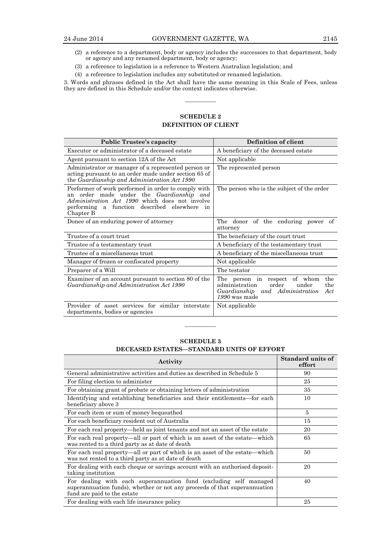- 
- (2) a reference to a department, body or agency includes the successors to that department, body or agency and any renamed department, body or agency;
- (3) a reference to legislation is a reference to Western Australian legislation; and
- (4) a reference to legislation includes any substituted or renamed legislation.

3. Words and phrases defined in the Act shall have the same meaning in this Scale of Fees, unless they are defined in this Schedule and/or the context indicates otherwise.

————

# **SCHEDULE 2 DEFINITION OF CLIENT**

| <b>Public Trustee's capacity</b>                                                                                                                                                                                                   | Definition of client                                                                                                                            |
|------------------------------------------------------------------------------------------------------------------------------------------------------------------------------------------------------------------------------------|-------------------------------------------------------------------------------------------------------------------------------------------------|
| Executor or administrator of a deceased estate                                                                                                                                                                                     | A beneficiary of the deceased estate                                                                                                            |
| Agent pursuant to section 12A of the Act                                                                                                                                                                                           | Not applicable                                                                                                                                  |
| Administrator or manager of a represented person or<br>acting pursuant to an order made under section 65 of<br>the Guardianship and Administration Act 1990                                                                        | The represented person                                                                                                                          |
| Performer of work performed in order to comply with<br>order made under the <i>Guardianship and</i><br>an<br><i>Administration Act 1990</i> which does not involve<br>performing a function described elsewhere<br>in<br>Chapter B | The person who is the subject of the order                                                                                                      |
| Donee of an enduring power of attorney                                                                                                                                                                                             | The donor of the enduring power of<br>attorney                                                                                                  |
| Trustee of a court trust                                                                                                                                                                                                           | The beneficiary of the court trust                                                                                                              |
| Trustee of a testamentary trust                                                                                                                                                                                                    | A beneficiary of the testamentary trust                                                                                                         |
| Trustee of a miscellaneous trust                                                                                                                                                                                                   | A beneficiary of the miscellaneous trust                                                                                                        |
| Manager of frozen or confiscated property                                                                                                                                                                                          | Not applicable                                                                                                                                  |
| Preparer of a Will                                                                                                                                                                                                                 | The testator                                                                                                                                    |
| Examiner of an account pursuant to section 80 of the<br>Guardianship and Administration Act 1990                                                                                                                                   | of whom<br>the<br>The person in respect<br>order<br>under<br>administration<br>the<br>Guardianship and Administration<br>Act<br>$1990$ was made |
| Provider of asset services for similar interstate<br>departments, bodies or agencies                                                                                                                                               | Not applicable                                                                                                                                  |

## **SCHEDULE 3 DECEASED ESTATES—STANDARD UNITS OF EFFORT**

————

| Activity                                                                                                                                                                      | Standard units of<br>effort |
|-------------------------------------------------------------------------------------------------------------------------------------------------------------------------------|-----------------------------|
| General administrative activities and duties as described in Schedule 5                                                                                                       | 90                          |
| For filing election to administer                                                                                                                                             | 25                          |
| For obtaining grant of probate or obtaining letters of administration                                                                                                         | 35                          |
| Identifying and establishing beneficiaries and their entitlements—for each<br>beneficiary above 3                                                                             | 10                          |
| For each item or sum of money bequeathed                                                                                                                                      | 5                           |
| For each beneficiary resident out of Australia                                                                                                                                | 15                          |
| For each real property—held as joint tenants and not an asset of the estate                                                                                                   | 20                          |
| For each real property—all or part of which is an asset of the estate—which<br>was rented to a third party as at date of death                                                | 65                          |
| For each real property—all or part of which is an asset of the estate—which<br>was not rented to a third party as at date of death                                            | 50                          |
| For dealing with each cheque or savings account with an authorised deposit-<br>taking institution                                                                             | 20                          |
| For dealing with each superannuation fund (excluding self managed<br>superannuation funds), whether or not any proceeds of that superannuation<br>fund are paid to the estate | 40                          |
| For dealing with each life insurance policy                                                                                                                                   | 25                          |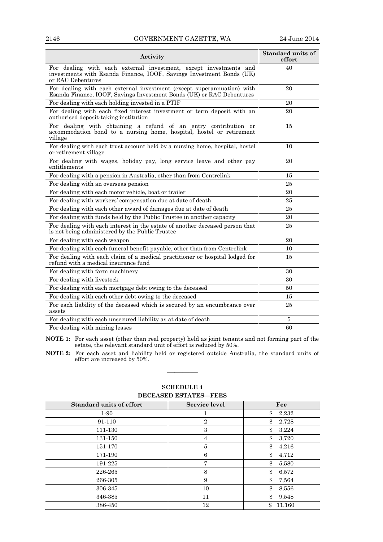# 2146 GOVERNMENT GAZETTE, WA 24 June 2014

| Activity                                                                                                                                                       | Standard units of<br>effort |
|----------------------------------------------------------------------------------------------------------------------------------------------------------------|-----------------------------|
| For dealing with each external investment, except investments and<br>investments with Esanda Finance, IOOF, Savings Investment Bonds (UK)<br>or RAC Debentures | 40                          |
| For dealing with each external investment (except superannuation) with<br>Esanda Finance, IOOF, Savings Investment Bonds (UK) or RAC Debentures                | 20                          |
| For dealing with each holding invested in a PTIF                                                                                                               | 20                          |
| For dealing with each fixed interest investment or term deposit with an<br>authorised deposit-taking institution                                               | 20                          |
| For dealing with obtaining a refund of an entry contribution or<br>accommodation bond to a nursing home, hospital, hostel or retirement<br>village             | 15                          |
| For dealing with each trust account held by a nursing home, hospital, hostel<br>or retirement village                                                          | 10                          |
| For dealing with wages, holiday pay, long service leave and other pay<br>entitlements                                                                          | 20                          |
| For dealing with a pension in Australia, other than from Centrelink                                                                                            | 15                          |
| For dealing with an overseas pension                                                                                                                           | 25                          |
| For dealing with each motor vehicle, boat or trailer                                                                                                           | 20                          |
| For dealing with workers' compensation due at date of death                                                                                                    | 25                          |
| For dealing with each other award of damages due at date of death                                                                                              | 25                          |
| For dealing with funds held by the Public Trustee in another capacity                                                                                          | 20                          |
| For dealing with each interest in the estate of another deceased person that<br>is not being administered by the Public Trustee                                | 25                          |
| For dealing with each weapon                                                                                                                                   | 20                          |
| For dealing with each funeral benefit payable, other than from Centrelink                                                                                      | 10                          |
| For dealing with each claim of a medical practitioner or hospital lodged for<br>refund with a medical insurance fund                                           | 15                          |
| For dealing with farm machinery                                                                                                                                | 30                          |
| For dealing with livestock                                                                                                                                     | 30                          |
| For dealing with each mortgage debt owing to the deceased                                                                                                      | 50                          |
| For dealing with each other debt owing to the deceased                                                                                                         | 15                          |
| For each liability of the deceased which is secured by an encumbrance over<br>assets                                                                           | 25                          |
| For dealing with each unsecured liability as at date of death                                                                                                  | 5                           |
| For dealing with mining leases                                                                                                                                 | 60                          |

**NOTE 1:** For each asset (other than real property) held as joint tenants and not forming part of the estate, the relevant standard unit of effort is reduced by 50%.

**NOTE 2:** For each asset and liability held or registered outside Australia, the standard units of effort are increased by 50%.

————

| реселертронные тере             |                      |              |
|---------------------------------|----------------------|--------------|
| <b>Standard units of effort</b> | <b>Service level</b> | Fee          |
| 1-90                            |                      | 2,232<br>\$  |
| 91-110                          | $\overline{2}$       | \$<br>2,728  |
| 111-130                         | 3                    | \$<br>3,224  |
| 131-150                         | 4                    | \$<br>3,720  |
| 151-170                         | 5                    | \$<br>4,216  |
| 171-190                         | 6                    | \$<br>4,712  |
| 191-225                         | 7                    | \$<br>5,580  |
| 226-265                         | 8                    | \$<br>6,572  |
| 266-305                         | 9                    | \$<br>7,564  |
| 306-345                         | 10                   | \$<br>8,556  |
| 346-385                         | 11                   | \$<br>9,548  |
| 386-450                         | 12                   | \$<br>11,160 |

# **SCHEDULE 4 DECEASED ESTATES—FEES**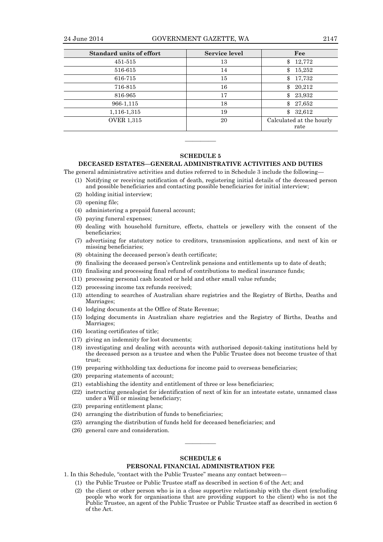| <b>Standard units of effort</b> | <b>Service level</b> | Fee                              |
|---------------------------------|----------------------|----------------------------------|
| 451-515                         | 13                   | 12,772<br>\$                     |
| 516-615                         | 14                   | 15,252<br>\$                     |
| 616-715                         | 15                   | 17,732<br>\$                     |
| 716-815                         | 16                   | \$<br>20,212                     |
| 816-965                         | 17                   | 23,932<br>\$.                    |
| 966-1,115                       | 18                   | \$<br>27,652                     |
| 1,116-1,315                     | 19                   | \$<br>32,612                     |
| <b>OVER 1,315</b>               | 20                   | Calculated at the hourly<br>rate |

#### **SCHEDULE 5**

————

#### **DECEASED ESTATES—GENERAL ADMINISTRATIVE ACTIVITIES AND DUTIES**

The general administrative activities and duties referred to in Schedule 3 include the following—

- (1) Notifying or receiving notification of death, registering initial details of the deceased person and possible beneficiaries and contacting possible beneficiaries for initial interview;
- (2) holding initial interview;
- (3) opening file;
- (4) administering a prepaid funeral account;
- (5) paying funeral expenses;
- (6) dealing with household furniture, effects, chattels or jewellery with the consent of the beneficiaries;
- (7) advertising for statutory notice to creditors, transmission applications, and next of kin or missing beneficiaries;
- (8) obtaining the deceased person's death certificate;
- (9) finalising the deceased person's Centrelink pensions and entitlements up to date of death;
- (10) finalising and processing final refund of contributions to medical insurance funds;
- (11) processing personal cash located or held and other small value refunds;
- (12) processing income tax refunds received;
- (13) attending to searches of Australian share registries and the Registry of Births, Deaths and Marriages;
- (14) lodging documents at the Office of State Revenue;
- (15) lodging documents in Australian share registries and the Registry of Births, Deaths and Marriages;
- (16) locating certificates of title;
- (17) giving an indemnity for lost documents;
- (18) investigating and dealing with accounts with authorised deposit-taking institutions held by the deceased person as a trustee and when the Public Trustee does not become trustee of that trust;
- (19) preparing withholding tax deductions for income paid to overseas beneficiaries;
- (20) preparing statements of account;
- (21) establishing the identity and entitlement of three or less beneficiaries;
- (22) instructing genealogist for identification of next of kin for an intestate estate, unnamed class under a Will or missing beneficiary;
- (23) preparing entitlement plans;
- (24) arranging the distribution of funds to beneficiaries;
- (25) arranging the distribution of funds held for deceased beneficiaries; and
- (26) general care and consideration.

## **SCHEDULE 6**

————

## **PERSONAL FINANCIAL ADMINISTRATION FEE**

- 1. In this Schedule, "contact with the Public Trustee" means any contact between—
	- (1) the Public Trustee or Public Trustee staff as described in section 6 of the Act; and
		- (2) the client or other person who is in a close supportive relationship with the client (excluding people who work for organisations that are providing support to the client) who is not the Public Trustee, an agent of the Public Trustee or Public Trustee staff as described in section 6 of the Act.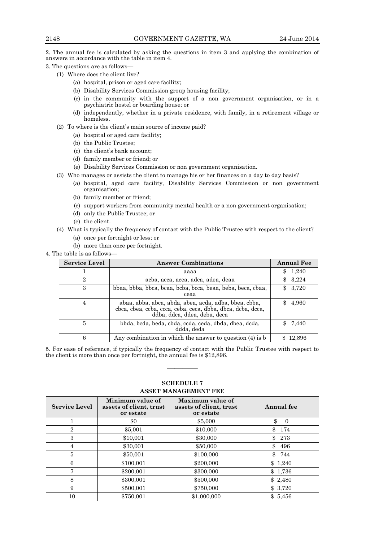2. The annual fee is calculated by asking the questions in item 3 and applying the combination of answers in accordance with the table in item 4.

3. The questions are as follows—

- (1) Where does the client live?
	- (a) hospital, prison or aged care facility;
	- (b) Disability Services Commission group housing facility;
	- (c) in the community with the support of a non government organisation, or in a psychiatric hostel or boarding house; or
	- (d) independently, whether in a private residence, with family, in a retirement village or homeless.
- (2) To where is the client's main source of income paid?
	- (a) hospital or aged care facility;
	- (b) the Public Trustee;
	- (c) the client's bank account;
	- (d) family member or friend; or
	- (e) Disability Services Commission or non government organisation.
- (3) Who manages or assists the client to manage his or her finances on a day to day basis?
	- (a) hospital, aged care facility, Disability Services Commission or non government organisation;
	- (b) family member or friend;
	- (c) support workers from community mental health or a non government organisation;
	- (d) only the Public Trustee; or
	- (e) the client.
- (4) What is typically the frequency of contact with the Public Trustee with respect to the client?
	- (a) once per fortnight or less; or
	- (b) more than once per fortnight.

4. The table is as follows—

| <b>Service Level</b> | <b>Answer Combinations</b>                                                                                                                           | <b>Annual Fee</b> |
|----------------------|------------------------------------------------------------------------------------------------------------------------------------------------------|-------------------|
|                      | aaaa                                                                                                                                                 | 1,240<br>\$.      |
| $\overline{2}$       | acba, acca, acea, adca, adea, deaa                                                                                                                   | \$3,224           |
| 3                    | bbaa, bbba, bbca, bcaa, bcba, bcca, beaa, beba, beca, cbaa,<br>ceaa                                                                                  | 3,720<br>\$       |
| 4                    | abaa, abba, abca, abda, abea, acda, adba, bbea, cbba,<br>cbca, cbea, ccba, ccca, ceba, ceca, dbba, dbca, dcba, dcca,<br>ddba, ddca, ddea, deba, deca | 4,960             |
| 5                    | bbda, bcda, beda, cbda, ccda, ceda, dbda, dbea, dcda,<br>ddda, deda                                                                                  | 7,440             |
| 6                    | Any combination in which the answer to question $(4)$ is b                                                                                           | 12,896            |

5. For ease of reference, if typically the frequency of contact with the Public Trustee with respect to the client is more than once per fortnight, the annual fee is \$12,896.

————

| ASSET MANAGEMENT FEE |                                                          |                                                          |                |
|----------------------|----------------------------------------------------------|----------------------------------------------------------|----------------|
| <b>Service Level</b> | Minimum value of<br>assets of client, trust<br>or estate | Maximum value of<br>assets of client, trust<br>or estate | Annual fee     |
|                      | $\$0$                                                    | \$5,000                                                  | \$<br>$\Omega$ |
| $\overline{2}$       | \$5,001                                                  | \$10,000                                                 | \$<br>174      |
| 3                    | \$10,001                                                 | \$30,000                                                 | \$<br>273      |
| 4                    | \$30,001                                                 | \$50,000                                                 | \$<br>496      |
| 5                    | \$50,001                                                 | \$100,000                                                | \$<br>744      |
| 6                    | \$100,001                                                | \$200,000                                                | \$1,240        |
| 7                    | \$200,001                                                | \$300,000                                                | \$1,736        |
| 8                    | \$300,001                                                | \$500,000                                                | \$2,480        |
| 9                    | \$500,001                                                | \$750,000                                                | \$3,720        |
| 10                   | \$750.001                                                | \$1,000,000                                              | \$5,456        |

# **SCHEDULE 7 ASSET MANAGEMENT FEE**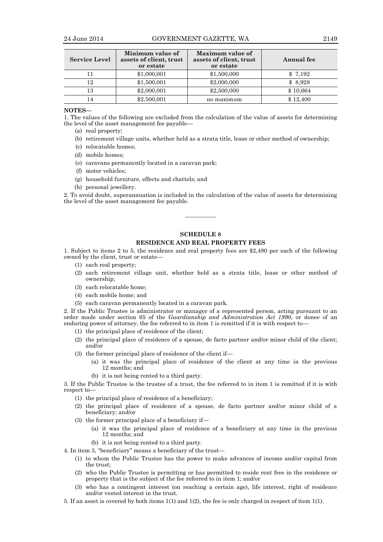| <b>Service Level</b> | Minimum value of<br>assets of client, trust<br>or estate | Maximum value of<br>assets of client, trust<br>or estate | Annual fee |
|----------------------|----------------------------------------------------------|----------------------------------------------------------|------------|
|                      | \$1,000,001                                              | \$1,500,000                                              | \$7,192    |
| 12                   | \$1,500,001                                              | \$2,000,000                                              | \$8,928    |
| 13                   | \$2,000,001                                              | \$2,500,000                                              | \$10,664   |
| 14                   | \$2,500,001                                              | no maximum                                               | \$12,400   |

#### **NOTES—**

1. The values of the following are excluded from the calculation of the value of assets for determining the level of the asset management fee payable—

- (a) real property;
- (b) retirement village units, whether held as a strata title, lease or other method of ownership;
- (c) relocatable homes;
- (d) mobile homes;
- (e) caravans permanently located in a caravan park;
- (f) motor vehicles;
- (g) household furniture, effects and chattels; and
- (h) personal jewellery.

2. To avoid doubt, superannuation is included in the calculation of the value of assets for determining the level of the asset management fee payable.

#### **SCHEDULE 8**

————

## **RESIDENCE AND REAL PROPERTY FEES**

1. Subject to items 2 to 5, the residence and real property fees are \$2,480 per each of the following owned by the client, trust or estate—

- (1) each real property;
- (2) each retirement village unit, whether held as a strata title, lease or other method of ownership;
- (3) each relocatable home;
- (4) each mobile home; and
- (5) each caravan permanently located in a caravan park.

2. If the Public Trustee is administrator or manager of a represented person, acting pursuant to an order made under section 65 of the *Guardianship and Administration Act 1990*, or donee of an enduring power of attorney, the fee referred to in item 1 is remitted if it is with respect to—

- (1) the principal place of residence of the client;
- (2) the principal place of residence of a spouse, de facto partner and/or minor child of the client; and/or
- (3) the former principal place of residence of the client if—
	- (a) it was the principal place of residence of the client at any time in the previous 12 months; and
	- (b) it is not being rented to a third party.

3. If the Public Trustee is the trustee of a trust, the fee referred to in item 1 is remitted if it is with respect to—

- (1) the principal place of residence of a beneficiary;
- (2) the principal place of residence of a spouse, de facto partner and/or minor child of a beneficiary; and/or
- (3) the former principal place of a beneficiary if—
	- (a) it was the principal place of residence of a beneficiary at any time in the previous 12 months; and
	- (b) it is not being rented to a third party.
- 4. In item 3, "beneficiary" means a beneficiary of the trust—
	- (1) to whom the Public Trustee has the power to make advances of income and/or capital from the trust;
	- (2) who the Public Trustee is permitting or has permitted to reside rent free in the residence or property that is the subject of the fee referred to in item 1; and/or
	- (3) who has a contingent interest (on reaching a certain age), life interest, right of residence and/or vested interest in the trust.
- 5. If an asset is covered by both items 1(1) and 1(2), the fee is only charged in respect of item 1(1).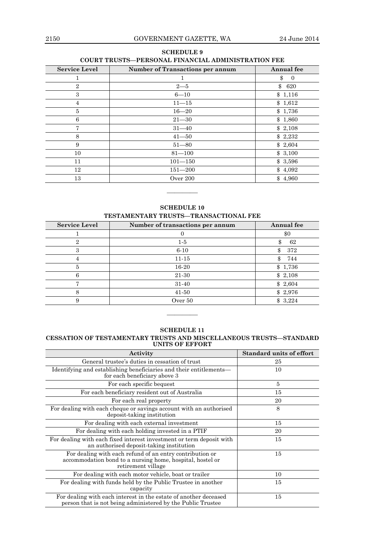# **SCHEDULE 9 COURT TRUSTS—PERSONAL FINANCIAL ADMINISTRATION FEE**

| <b>Service Level</b> | <b>Number of Transactions per annum</b> | Annual fee           |
|----------------------|-----------------------------------------|----------------------|
|                      |                                         | \$<br>$\Omega$       |
| $\overline{2}$       | $2 - 5$                                 | $\mathcal{S}$<br>620 |
| 3                    | $6 - 10$                                | \$1,116              |
| 4                    | $11 - 15$                               | \$1,612              |
| 5                    | $16 - 20$                               | \$1,736              |
| 6                    | $21 - 30$                               | \$1,860              |
| 7                    | $31 - 40$                               | \$2,108              |
| 8                    | $41 - 50$                               | \$2,232              |
| 9                    | $51 - 80$                               | \$2,604              |
| 10                   | $81 - 100$                              | \$3,100              |
| 11                   | $101 - 150$                             | \$3,596              |
| 12                   | $151 - 200$                             | \$4,092              |
| 13                   | Over $200$                              | \$4,960              |

**SCHEDULE 10 TESTAMENTARY TRUSTS—TRANSACTIONAL FEE**

————

| <b>Service Level</b> | Number of transactions per annum | Annual fee |
|----------------------|----------------------------------|------------|
|                      |                                  | \$0        |
| 2                    | $1-5$                            | 62         |
| 3                    | $6 - 10$                         | 372<br>\$  |
| 4                    | $11 - 15$                        | 744<br>\$  |
| 5                    | 16-20                            | \$1,736    |
| 6                    | 21-30                            | \$2,108    |
| Ξ,                   | 31-40                            | \$2,604    |
| 8                    | $41-50$                          | \$2,976    |
| 9                    | Over $50$                        | \$3,224    |

# **SCHEDULE 11**

————

### **CESSATION OF TESTAMENTARY TRUSTS AND MISCELLANEOUS TRUSTS—STANDARD UNITS OF EFFORT**

| Activity                                                                                                                                    | <b>Standard units of effort</b> |
|---------------------------------------------------------------------------------------------------------------------------------------------|---------------------------------|
| General trustee's duties in cessation of trust                                                                                              | 25                              |
| Identifying and establishing beneficiaries and their entitlements-<br>for each beneficiary above 3                                          | 10                              |
| For each specific bequest                                                                                                                   | 5                               |
| For each beneficiary resident out of Australia                                                                                              | 15                              |
| For each real property                                                                                                                      | 20                              |
| For dealing with each cheque or savings account with an authorised<br>deposit-taking institution                                            | 8                               |
| For dealing with each external investment                                                                                                   | 15                              |
| For dealing with each holding invested in a PTIF                                                                                            | 20                              |
| For dealing with each fixed interest investment or term deposit with<br>an authorised deposit-taking institution                            | 15                              |
| For dealing with each refund of an entry contribution or<br>accommodation bond to a nursing home, hospital, hostel or<br>retirement village | 15                              |
| For dealing with each motor vehicle, boat or trailer                                                                                        | 10                              |
| For dealing with funds held by the Public Trustee in another<br>capacity                                                                    | 15                              |
| For dealing with each interest in the estate of another deceased<br>person that is not being administered by the Public Trustee             | 15                              |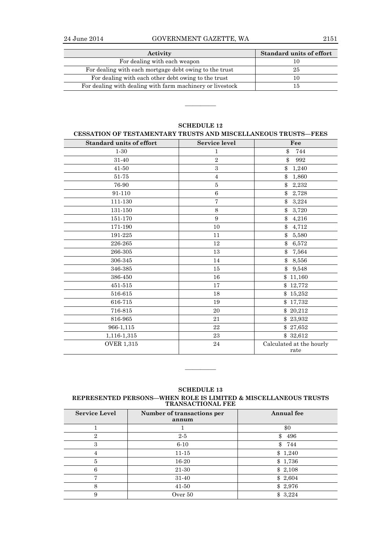| Activity                                                  | <b>Standard units of effort</b> |
|-----------------------------------------------------------|---------------------------------|
| For dealing with each weapon                              |                                 |
| For dealing with each mortgage debt owing to the trust    | 25                              |
| For dealing with each other debt owing to the trust       |                                 |
| For dealing with dealing with farm machinery or livestock |                                 |

| <b>Standard units of effort</b> | <b>Service level</b> | Fee                              |
|---------------------------------|----------------------|----------------------------------|
| $1 - 30$                        | 1                    | \$<br>744                        |
| 31-40                           | $\overline{2}$       | $\Re$<br>992                     |
| 41-50                           | $\,3$                | \$<br>1,240                      |
| 51-75                           | $\overline{4}$       | \$1,860                          |
| 76-90                           | $\bf 5$              | \$<br>2,232                      |
| 91-110                          | 6                    | \$2,728                          |
| 111-130                         | $\overline{7}$       | $\frac{1}{2}$<br>3,224           |
| 131-150                         | 8                    | 3,720<br>\$                      |
| 151-170                         | 9                    | \$4,216                          |
| 171-190                         | 10                   | \$<br>4,712                      |
| 191-225                         | 11                   | \$<br>5,580                      |
| 226-265                         | 12                   | \$<br>6,572                      |
| 266-305                         | 13                   | \$<br>7,564                      |
| 306-345                         | 14                   | \$8,556                          |
| 346-385                         | 15                   | $\mathbb{S}$<br>9,548            |
| 386-450                         | 16                   | \$11,160                         |
| 451-515                         | 17                   | \$12,772                         |
| 516-615                         | 18                   | \$15,252                         |
| 616-715                         | 19                   | \$17,732                         |
| 716-815                         | 20                   | \$20,212                         |
| 816-965                         | 21                   | \$23,932                         |
| 966-1,115                       | 22                   | \$27,652                         |
| 1,116-1,315                     | 23                   | \$32,612                         |
| <b>OVER 1,315</b>               | 24                   | Calculated at the hourly<br>rate |

# **SCHEDULE 12**

————

**SCHEDULE 13 REPRESENTED PERSONS—WHEN ROLE IS LIMITED & MISCELLANEOUS TRUSTS TRANSACTIONAL FEE**

————

| <b>Service Level</b> | Number of transactions per<br>annum | <b>Annual</b> fee   |
|----------------------|-------------------------------------|---------------------|
|                      |                                     | \$0                 |
| $\overline{2}$       | $2 - 5$                             | 496<br>\$           |
| 3                    | $6 - 10$                            | $\mathbb{S}$<br>744 |
| 4                    | $11 - 15$                           | \$1,240             |
| 5                    | 16-20                               | \$1,736             |
| 6                    | 21-30                               | \$2,108             |
| 7                    | 31-40                               | \$2,604             |
| 8                    | $41 - 50$                           | \$2,976             |
| 9                    | Over 50                             | \$<br>3,224         |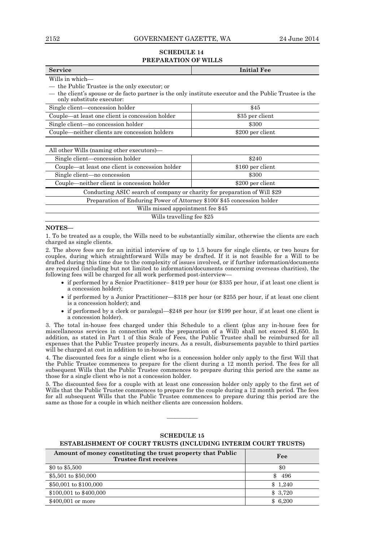## 2152 GOVERNMENT GAZETTE, WA 24 June 2014

## **SCHEDULE 14 PREPARATION OF WILLS**

| <b>Service</b>                                                                                                                      | <b>Initial Fee</b> |  |  |  |
|-------------------------------------------------------------------------------------------------------------------------------------|--------------------|--|--|--|
| Wills in which—                                                                                                                     |                    |  |  |  |
| — the Public Trustee is the only executor; or                                                                                       |                    |  |  |  |
| — the client's spouse or de facto partner is the only institute executor and the Public Trustee is the<br>only substitute executor: |                    |  |  |  |
| Single client—concession holder                                                                                                     | \$45               |  |  |  |
| Couple—at least one client is concession holder                                                                                     | \$35 per client    |  |  |  |
| Single client—no concession holder                                                                                                  | \$300              |  |  |  |
| Couple—neither clients are concession holders                                                                                       | \$200 per client   |  |  |  |
|                                                                                                                                     |                    |  |  |  |
| All other Wills (naming other executors)—                                                                                           |                    |  |  |  |
| Single client—concession holder                                                                                                     | \$240              |  |  |  |
| Couple—at least one client is concession holder                                                                                     | \$160 per client   |  |  |  |
| Single client—no concession                                                                                                         | \$300              |  |  |  |
| Couple—neither client is concession holder                                                                                          | \$200 per client   |  |  |  |
| Conducting ASIC search of company or charity for preparation of Will \$29                                                           |                    |  |  |  |
| Preparation of Enduring Power of Attorney \$100/\$45 concession holder                                                              |                    |  |  |  |
| Wills missed appointment fee \$45                                                                                                   |                    |  |  |  |
| Wills travelling fee \$25                                                                                                           |                    |  |  |  |

## **NOTES—**

1. To be treated as a couple, the Wills need to be substantially similar, otherwise the clients are each charged as single clients.

2. The above fees are for an initial interview of up to 1.5 hours for single clients, or two hours for couples, during which straightforward Wills may be drafted. If it is not feasible for a Will to be drafted during this time due to the complexity of issues involved, or if further information/documents are required (including but not limited to information/documents concerning overseas charities), the following fees will be charged for all work performed post-interview—

- if performed by a Senior Practitioner– \$419 per hour (or \$335 per hour, if at least one client is a concession holder);
- if performed by a Junior Practitioner—\$318 per hour (or \$255 per hour, if at least one client is a concession holder); and
- if performed by a clerk or paralegal—\$248 per hour (or \$199 per hour, if at least one client is a concession holder).

3. The total in-house fees charged under this Schedule to a client (plus any in-house fees for miscellaneous services in connection with the preparation of a Will) shall not exceed \$1,650. In addition, as stated in Part 1 of this Scale of Fees, the Public Trustee shall be reimbursed for all expenses that the Public Trustee properly incurs. As a result, disbursements payable to third parties will be charged at cost in addition to in-house fees.

4. The discounted fees for a single client who is a concession holder only apply to the first Will that the Public Trustee commences to prepare for the client during a 12 month period. The fees for all subsequent Wills that the Public Trustee commences to prepare during this period are the same as those for a single client who is not a concession holder.

5. The discounted fees for a couple with at least one concession holder only apply to the first set of Wills that the Public Trustee commences to prepare for the couple during a 12 month period. The fees for all subsequent Wills that the Public Trustee commences to prepare during this period are the same as those for a couple in which neither clients are concession holders.

| Amount of money constituting the trust property that Public<br><b>Trustee first receives</b> | Fee     |
|----------------------------------------------------------------------------------------------|---------|
| \$0 to \$5,500                                                                               | \$0     |
| \$5,501 to \$50,000                                                                          | 496     |
| \$50,001 to \$100,000                                                                        | \$1,240 |
| \$100,001 to \$400,000                                                                       | \$3,720 |
| \$400,001 or more                                                                            | \$6,200 |

## **SCHEDULE 15**

————

## **ESTABLISHMENT OF COURT TRUSTS (INCLUDING INTERIM COURT TRUSTS)**